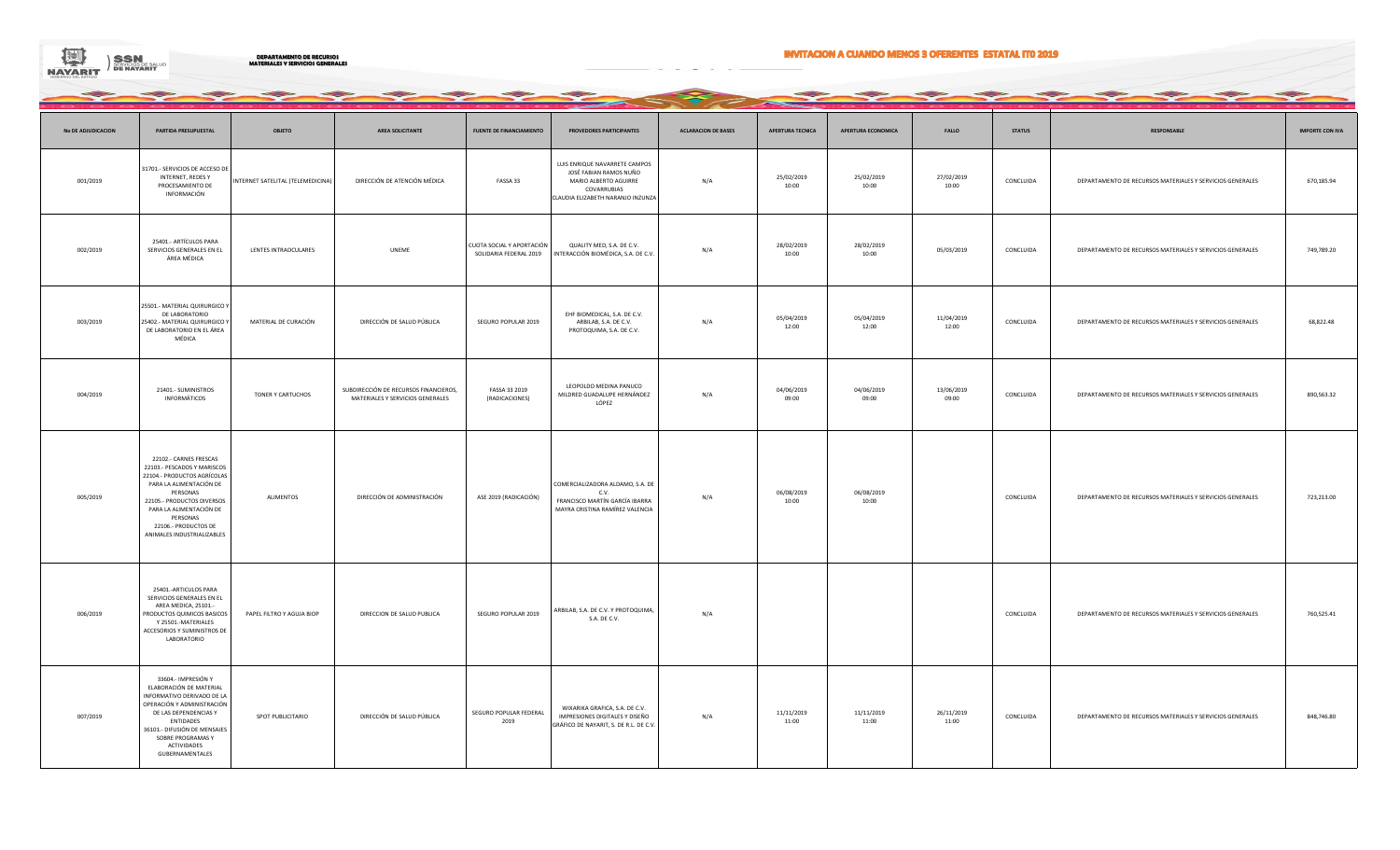

**DEPARTAMENTO DE RECURSOS MATERIALES Y SERVICIOS GENERALES**

## **INVITACION A CUANDO MENOS 3 OFERENTES ESTATAL ITO 2019**

| No DE ADJUDICACION | PARTIDA PRESUPUESTAL                                                                                                                                                                                                                                   | <b>OBJETO</b>                     | AREA SOLICITANTE                                                          | <b>FUENTE DE FINANCIAMIENTO</b>                     | PROVEDORES PARTICIPANTES                                                                                                             | <b>ACLARACION DE BASES</b> | APERTURA TECNICA    | APERTURA ECONOMICA  | <b>FALLO</b>        | <b>STATUS</b> | <b>RESPONSABLE</b>                                        | <b>IMPORTE CON IVA</b> |
|--------------------|--------------------------------------------------------------------------------------------------------------------------------------------------------------------------------------------------------------------------------------------------------|-----------------------------------|---------------------------------------------------------------------------|-----------------------------------------------------|--------------------------------------------------------------------------------------------------------------------------------------|----------------------------|---------------------|---------------------|---------------------|---------------|-----------------------------------------------------------|------------------------|
| 001/2019           | 31701.- SERVICIOS DE ACCESO DE<br>INTERNET, REDES Y<br>PROCESAMIENTO DE<br>INFORMACIÓN                                                                                                                                                                 | INTERNET SATELITAL (TELEMEDICINA) | DIRECCIÓN DE ATENCIÓN MÉDICA                                              | FASSA 33                                            | LUIS ENRIQUE NAVARRETE CAMPOS<br>JOSÉ FABIAN RAMOS NUÑO<br>MARIO ALBERTO AGUIRRE<br>COVARRUBIAS<br>CLAUDIA ELIZABETH NARANJO INZUNZA | N/A                        | 25/02/2019<br>10:00 | 25/02/2019<br>10:00 | 27/02/2019<br>10:00 | CONCLUIDA     | DEPARTAMENTO DE RECURSOS MATERIALES Y SERVICIOS GENERALES | 670,185.94             |
| 002/2019           | 25401.- ARTÍCULOS PARA<br>SERVICIOS GENERALES EN EL<br>ÁREA MÉDICA                                                                                                                                                                                     | LENTES INTRAOCULARES              | UNEME                                                                     | CUOTA SOCIAL Y APORTACIÓN<br>SOLIDARIA FEDERAL 2019 | QUALITY MED, S.A. DE C.V.<br>INTERACCIÓN BIOMÉDICA, S.A. DE C.V                                                                      | N/A                        | 28/02/2019<br>10:00 | 28/02/2019<br>10:00 | 05/03/2019          | CONCLUIDA     | DEPARTAMENTO DE RECURSOS MATERIALES Y SERVICIOS GENERALES | 749,789.20             |
| 003/2019           | 25501 .- MATERIAL QUIRURGICO Y<br>DE LABORATORIO<br>25402.- MATERIAL QUIRURGICO Y<br>DE LABORATORIO EN EL ÁREA<br>MÉDICA                                                                                                                               | MATERIAL DE CURACIÓN              | DIRECCIÓN DE SALUD PÚBLICA                                                | SEGURO POPULAR 2019                                 | EHF BIOMEDICAL, S.A. DE C.V.<br>ARBILAB, S.A. DE C.V.<br>PROTOQUIMA, S.A. DE C.V.                                                    | N/A                        | 05/04/2019<br>12:00 | 05/04/2019<br>12:00 | 11/04/2019<br>12:00 | CONCLUIDA     | DEPARTAMENTO DE RECURSOS MATERIALES Y SERVICIOS GENERALES | 68,822.48              |
| 004/2019           | 21401.- SUMINISTROS<br>INFORMÁTICOS                                                                                                                                                                                                                    | TONER Y CARTUCHOS                 | SUBDIRECCIÓN DE RECURSOS FINANCIEROS,<br>MATERIALES Y SERVICIOS GENERALES | FASSA 33 2019<br>(RADICACIONES)                     | LEOPOLDO MEDINA PANUCO<br>MILDRED GUADALUPE HERNÁNDEZ<br>LÓPEZ                                                                       | N/A                        | 04/06/2019<br>09:00 | 04/06/2019<br>09:00 | 13/06/2019<br>09:00 | CONCLUIDA     | DEPARTAMENTO DE RECURSOS MATERIALES Y SERVICIOS GENERALES | 890,563.32             |
| 005/2019           | 22102.- CARNES FRESCAS<br>22103.- PESCADOS Y MARISCOS<br>22104.- PRODUCTOS AGRÍCOLAS<br>PARA LA ALIMENTACIÓN DE<br>PERSONAS<br>22105.- PRODUCTOS DIVERSOS<br>PARA LA ALIMENTACIÓN DE<br>PERSONAS<br>22106.- PRODUCTOS DE<br>ANIMALES INDUSTRIALIZABLES | <b>ALIMENTOS</b>                  | DIRECCIÓN DE ADMINISTRACIÓN                                               | ASE 2019 (RADICACIÓN)                               | COMERCIALIZADORA ALDAMO, S.A. DE<br>C.V.<br>FRANCISCO MARTÍN GARCÍA IBARRA<br>MAYRA CRISTINA RAMÍREZ VALENCIA                        | N/A                        | 06/08/2019<br>10:00 | 06/08/2019<br>10:00 |                     | CONCLUIDA     | DEPARTAMENTO DE RECURSOS MATERIALES Y SERVICIOS GENERALES | 723,213.00             |
| 006/2019           | 25401 .- ARTICULOS PARA<br>SERVICIOS GENERALES EN EL<br>AREA MEDICA, 25101.-<br>PRODUCTOS QUIMICOS BASICOS<br>Y 25501.-MATERIALES<br>ACCESORIOS Y SUMINISTROS DE<br>LABORATORIO                                                                        | PAPEL FILTRO Y AGUJA BIOP         | DIRECCION DE SALUD PUBLICA                                                | SEGURO POPULAR 2019                                 | ARBILAB, S.A. DE C.V. Y PROTOQUIMA,<br>S.A. DE C.V.                                                                                  | N/A                        |                     |                     |                     | CONCLUIDA     | DEPARTAMENTO DE RECURSOS MATERIALES Y SERVICIOS GENERALES | 760,525.41             |
| 007/2019           | 33604.- IMPRESIÓN Y<br>ELABORACIÓN DE MATERIAL<br>INFORMATIVO DERIVADO DE LA<br>OPERACIÓN Y ADMINISTRACIÓN<br>DE LAS DEPENDENCIAS Y<br><b>ENTIDADES</b><br>36101.- DIFUSIÓN DE MENSAJES<br>SOBRE PROGRAMAS Y<br>ACTIVIDADES<br>GUBERNAMENTALES         | SPOT PUBLICITARIO                 | DIRECCIÓN DE SALUD PÚBLICA                                                | SEGURO POPULAR FEDERAL<br>2019                      | WIXARIKA GRAFICA, S.A. DE C.V.<br>IMPRESIONES DIGITALES Y DISEÑO<br>GRÁFICO DE NAYARIT, S. DE R.L. DE C.V.                           | N/A                        | 11/11/2019<br>11:00 | 11/11/2019<br>11:00 | 26/11/2019<br>11:00 | CONCLUIDA     | DEPARTAMENTO DE RECURSOS MATERIALES Y SERVICIOS GENERALES | 848,746.80             |